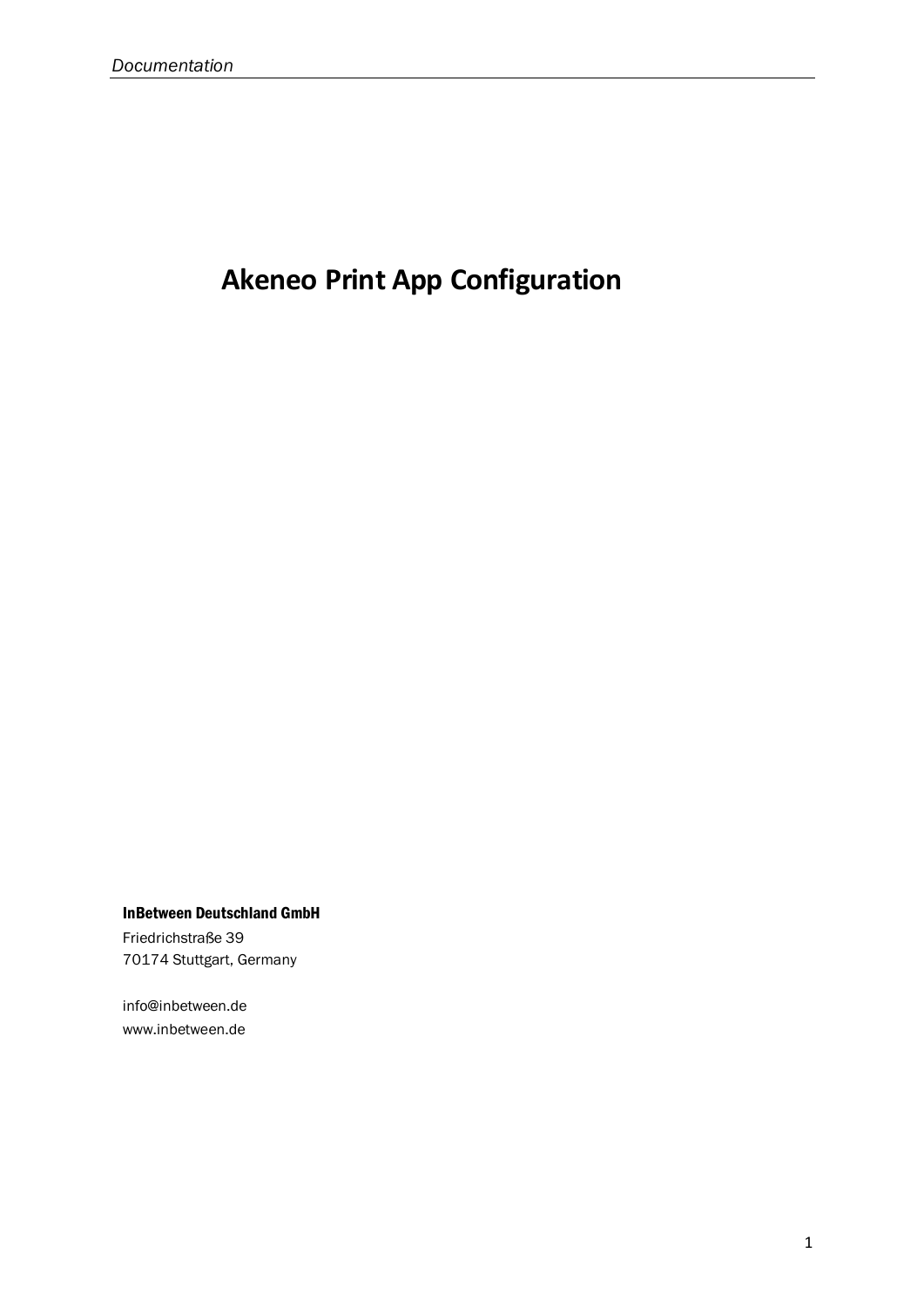# **Akeneo Print App Configuration**

InBetween Deutschland GmbH

Friedrichstraße 39 70174 Stuttgart, Germany

info@inbetween.de www.inbetween.de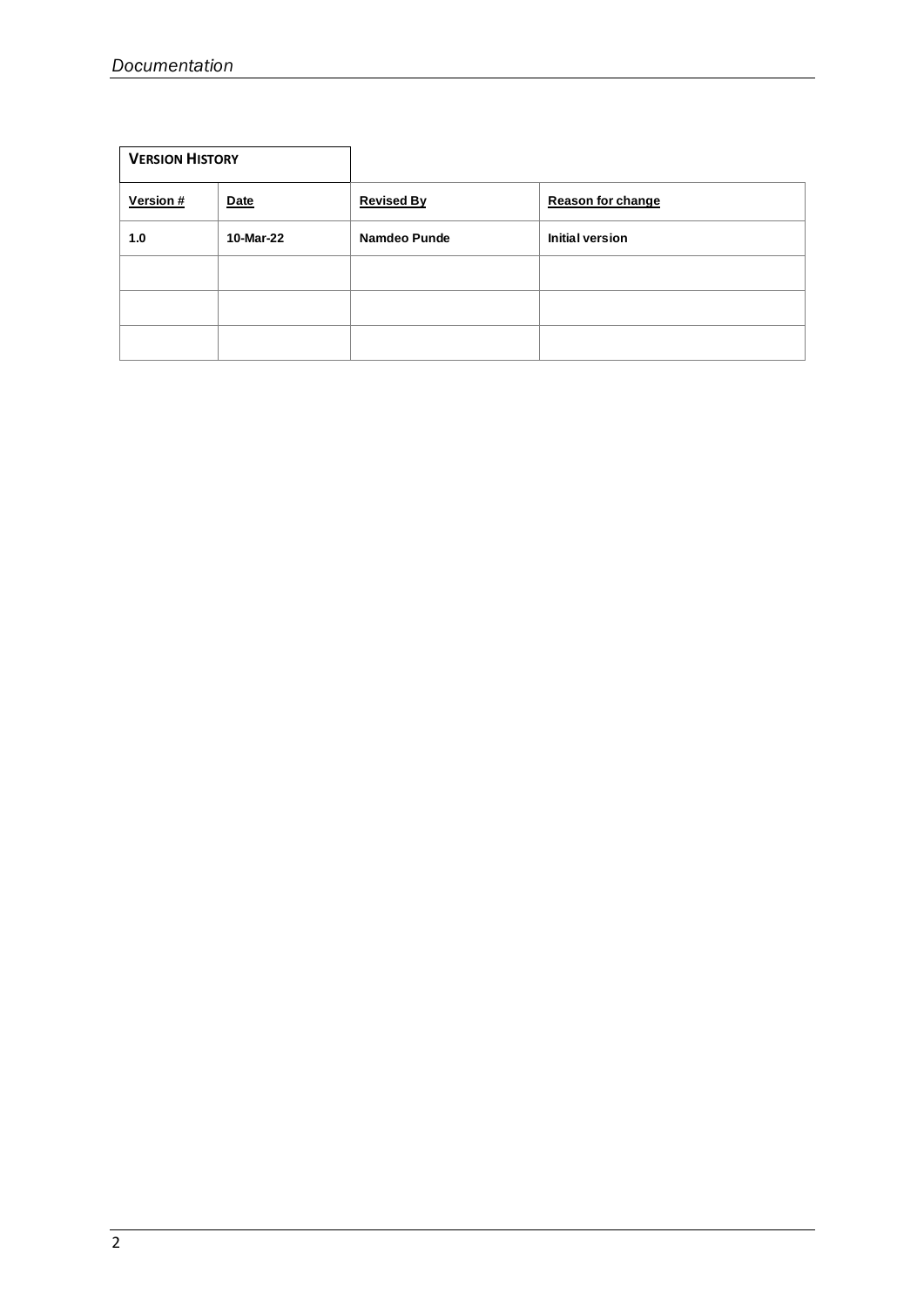| <b>VERSION HISTORY</b> |           |                   |                   |
|------------------------|-----------|-------------------|-------------------|
| Version #              | Date      | <b>Revised By</b> | Reason for change |
| 1.0                    | 10-Mar-22 | Namdeo Punde      | Initial version   |
|                        |           |                   |                   |
|                        |           |                   |                   |
|                        |           |                   |                   |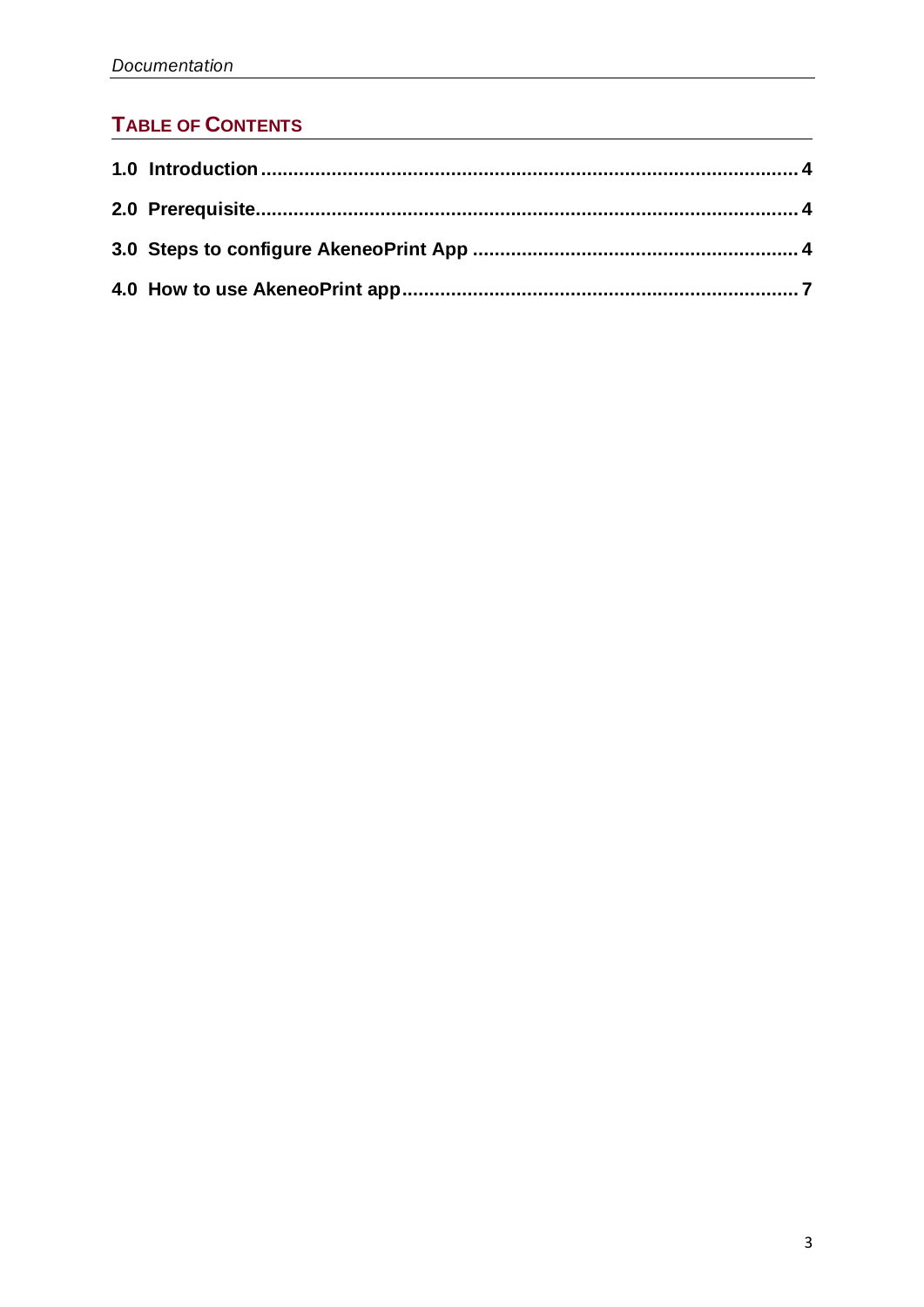## **TABLE OF CONTENTS**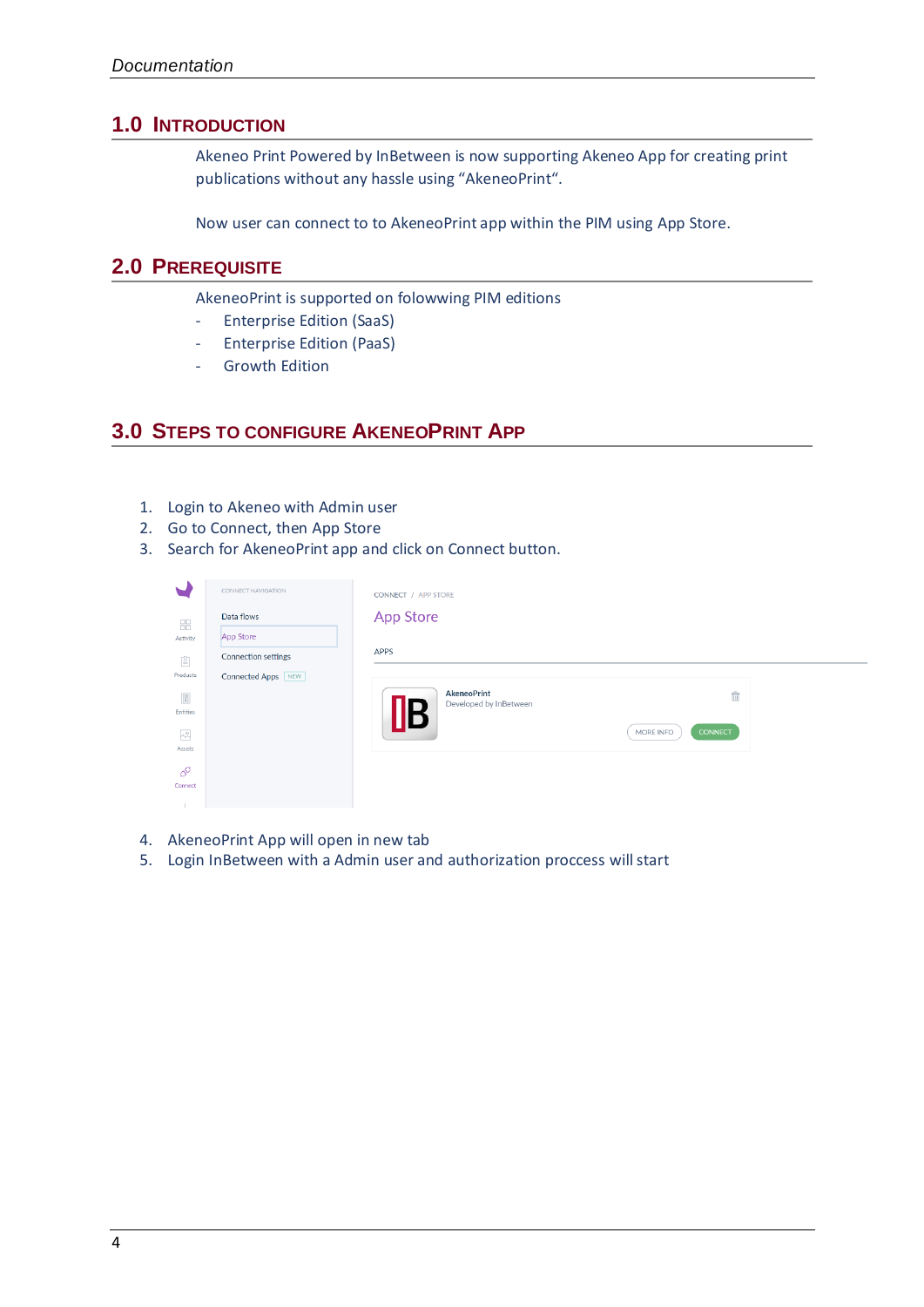#### <span id="page-3-0"></span>**1.0 INTRODUCTION**

Akeneo Print Powered by InBetween is now supporting Akeneo App for creating print publications without any hassle using "AkeneoPrint".

Now user can connect to to AkeneoPrint app within the PIM using App Store.

#### <span id="page-3-1"></span>**2.0 PREREQUISITE**

AkeneoPrint is supported on folowwing PIM editions

- Enterprise Edition (SaaS)
- Enterprise Edition (PaaS)
- Growth Edition

#### <span id="page-3-2"></span>**3.0 STEPS TO CONFIGURE AKENEOPRINT APP**

- 1. Login to Akeneo with Admin user
- 2. Go to Connect, then App Store
- 3. Search for AkeneoPrint app and click on Connect button.

|                                                                    | CONNECT NAVIGATION         | CONNECT / APP STORE                   |                             |
|--------------------------------------------------------------------|----------------------------|---------------------------------------|-----------------------------|
| 88                                                                 | Data flows                 | App Store                             |                             |
| Activity                                                           | App Store                  |                                       |                             |
| $\left[\frac{\alpha}{m}\right]$                                    | <b>Connection settings</b> | APPS                                  |                             |
| Products                                                           | Connected Apps NEW         |                                       |                             |
| $\begin{smallmatrix} 08 \\[-4pt] 00 \end{smallmatrix}$<br>Entities |                            | AkeneoPrint<br>Developed by InBetween | $\bar{\mathbb{m}}$          |
| $\sim$                                                             |                            |                                       | MORE INFO<br><b>CONNECT</b> |
| Assets                                                             |                            |                                       |                             |
| $\mathcal{C}^{\mathcal{O}}$                                        |                            |                                       |                             |
| Connect                                                            |                            |                                       |                             |

- 4. AkeneoPrint App will open in new tab
- 5. Login InBetween with a Admin user and authorization proccess will start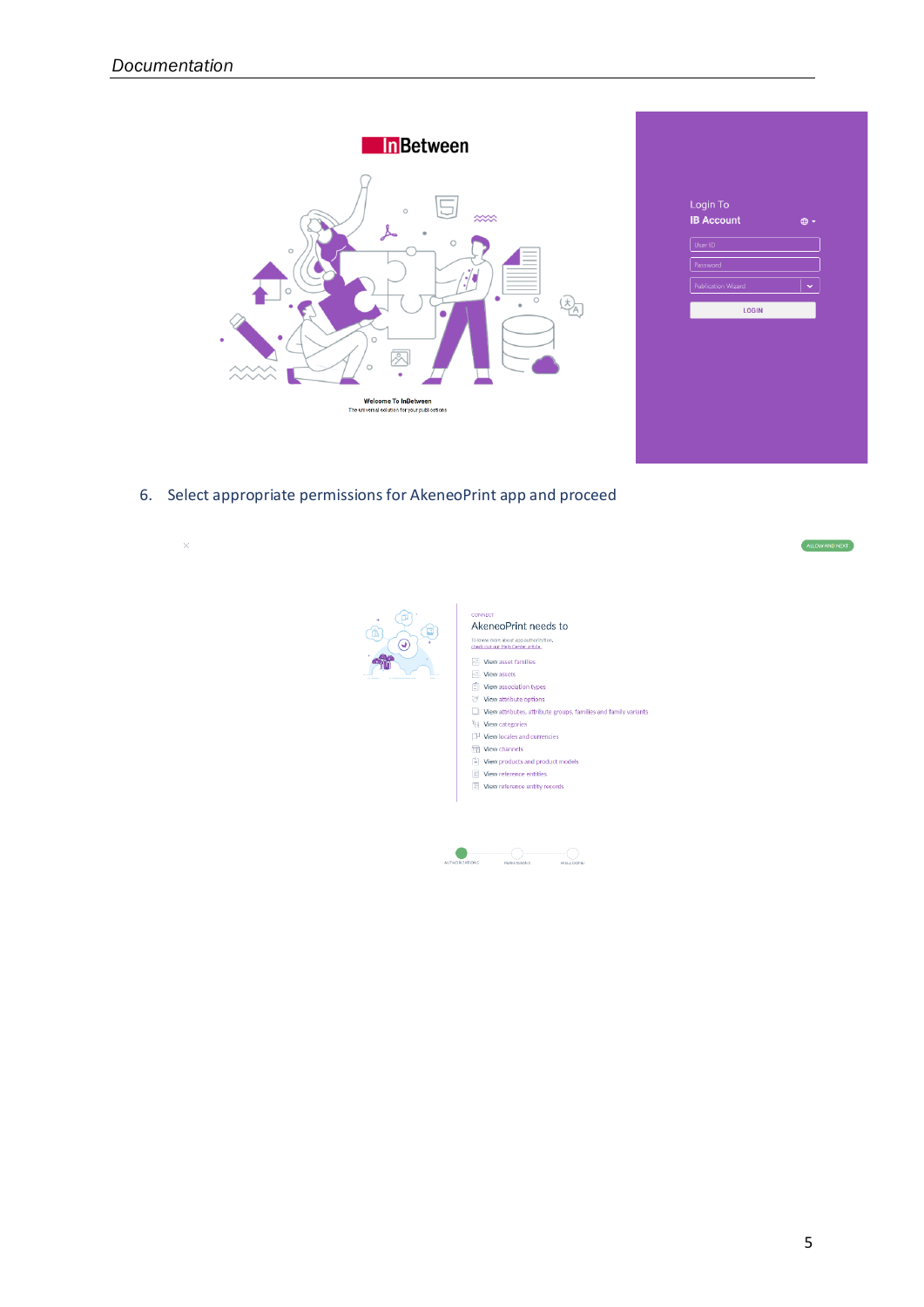

| Login To<br><b>IB Account</b> | $\bigoplus$ - |
|-------------------------------|---------------|
| User ID                       |               |
| Password                      |               |
| <b>Publication Wizard</b>     | $\checkmark$  |
| <b>LOGIN</b>                  |               |
|                               |               |
|                               |               |
|                               |               |
|                               |               |
|                               |               |
|                               |               |

6. Select appropriate permissions for AkeneoPrint app and proceed

| ×            | ALLOW AND NEXT                                                                                                                                                                                                                                                                                                                                                                                                                                                                                                                      |
|--------------|-------------------------------------------------------------------------------------------------------------------------------------------------------------------------------------------------------------------------------------------------------------------------------------------------------------------------------------------------------------------------------------------------------------------------------------------------------------------------------------------------------------------------------------|
| $\bf \Theta$ | <b>CONNECT</b><br>AkeneoPrint needs to<br>To know more about app authorization,<br>check out our Help Center article.<br>$\sqrt{2}$ View asset families<br><b>New assets</b><br>$\Box$ View association types<br>View attribute options<br>View attributes, attribute groups, families and family variants<br><sup>2</sup> El View categories<br>View locales and currencies<br>Wiew channels<br>$\left[\frac{c}{m}\right]$ View products and product models<br>View reference entities<br><b>III</b> View reference entity records |
|              | <b>AUTHORIZATIONS</b><br>PERMISSIONS<br>WELL DONE                                                                                                                                                                                                                                                                                                                                                                                                                                                                                   |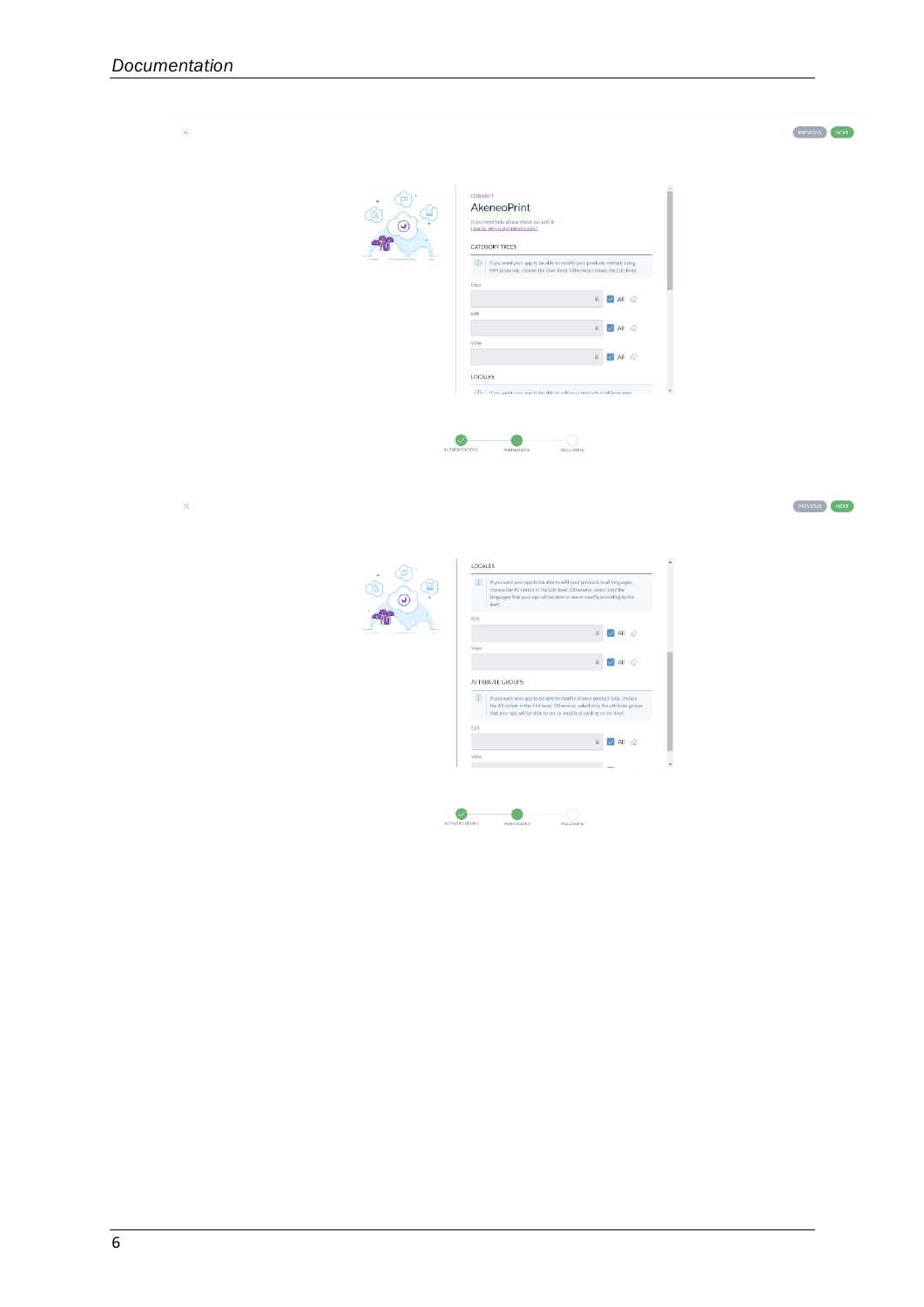



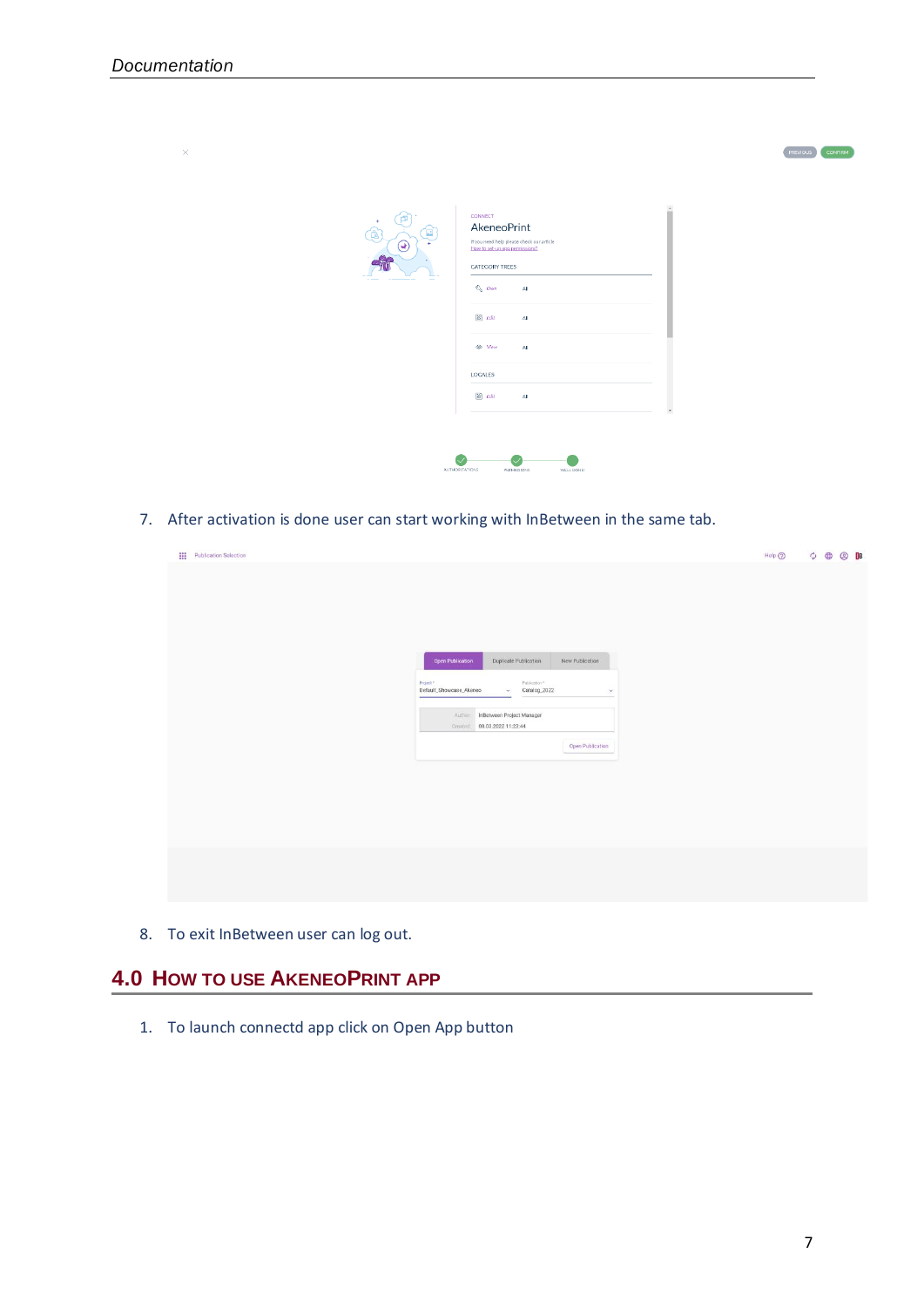| $\times$ |                  |                                                                                                                                                                                                                                                     | PREVIOUS<br><b>CONFIRM</b>          |
|----------|------------------|-----------------------------------------------------------------------------------------------------------------------------------------------------------------------------------------------------------------------------------------------------|-------------------------------------|
|          | 何<br>$\ast$<br>Œ | <b>CONNECT</b><br>AkeneoPrint<br>If you need help please check our article<br>How to set-up app permissions?<br>CATEGORY TREES<br>$\mathbb{R}$ own<br>All<br>$\mathbb{Z}$ $Edt$<br>All<br>$\n  Wew\n$<br>All<br>LOCALES<br>$\mathbb{E}$ Edit<br>All | $\sim$<br>m<br>$\blacktriangledown$ |

7. After activation is done user can start working with InBetween in the same tab.

| <b>III</b> Publication Selection |                                                                      | $Help$ $\odot$ $\qquad \circledcirc$ $\qquad$ $\oplus$ $\Box$ B |
|----------------------------------|----------------------------------------------------------------------|-----------------------------------------------------------------|
|                                  |                                                                      |                                                                 |
|                                  |                                                                      |                                                                 |
|                                  |                                                                      |                                                                 |
|                                  |                                                                      |                                                                 |
|                                  |                                                                      |                                                                 |
|                                  | Open Publication<br>Duplicate Publication<br>New Publication         |                                                                 |
|                                  | Publication <sup>®</sup><br>Project *                                |                                                                 |
|                                  | Default_Showcase_Akeneo<br>$\checkmark$ Catalog_2022<br>$\checkmark$ |                                                                 |
|                                  | InBetween Project Manager<br>Author:                                 |                                                                 |
|                                  | Created: 08.03.2022 11:23:44                                         |                                                                 |
|                                  | Open Publication                                                     |                                                                 |
|                                  |                                                                      |                                                                 |
|                                  |                                                                      |                                                                 |
|                                  |                                                                      |                                                                 |
|                                  |                                                                      |                                                                 |
|                                  |                                                                      |                                                                 |
|                                  |                                                                      |                                                                 |
|                                  |                                                                      |                                                                 |
|                                  |                                                                      |                                                                 |
|                                  |                                                                      |                                                                 |

8. To exit InBetween user can log out.

### <span id="page-6-0"></span>**4.0 HOW TO USE AKENEOPRINT APP**

1. To launch connectd app click on Open App button